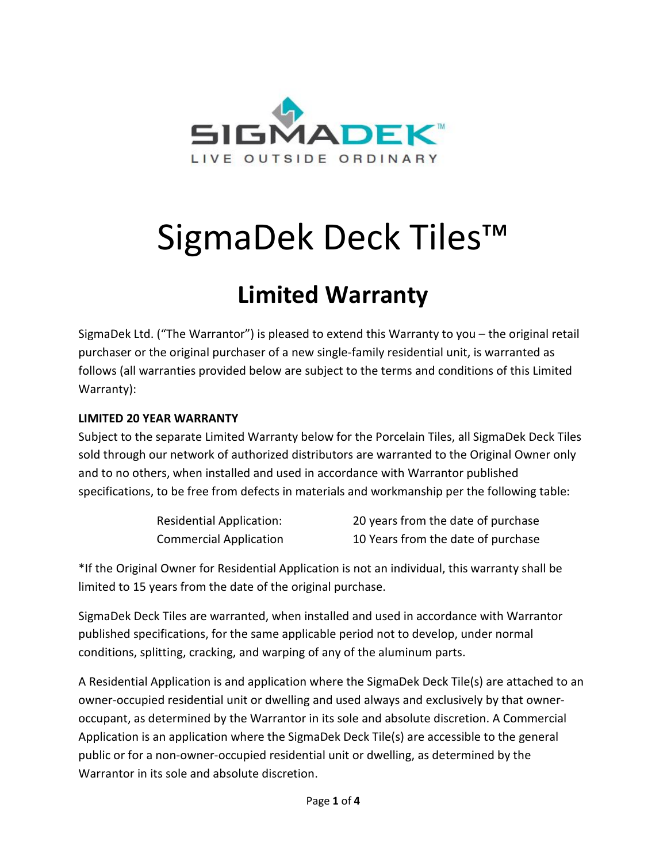

# SigmaDek Deck Tiles™

# **Limited Warranty**

SigmaDek Ltd. ("The Warrantor") is pleased to extend this Warranty to you – the original retail purchaser or the original purchaser of a new single-family residential unit, is warranted as follows (all warranties provided below are subject to the terms and conditions of this Limited Warranty):

## **LIMITED 20 YEAR WARRANTY**

Subject to the separate Limited Warranty below for the Porcelain Tiles, all SigmaDek Deck Tiles sold through our network of authorized distributors are warranted to the Original Owner only and to no others, when installed and used in accordance with Warrantor published specifications, to be free from defects in materials and workmanship per the following table:

| Residential Application:      | 20 years from the date of purchase |
|-------------------------------|------------------------------------|
| <b>Commercial Application</b> | 10 Years from the date of purchase |

\*If the Original Owner for Residential Application is not an individual, this warranty shall be limited to 15 years from the date of the original purchase.

SigmaDek Deck Tiles are warranted, when installed and used in accordance with Warrantor published specifications, for the same applicable period not to develop, under normal conditions, splitting, cracking, and warping of any of the aluminum parts.

A Residential Application is and application where the SigmaDek Deck Tile(s) are attached to an owner-occupied residential unit or dwelling and used always and exclusively by that owneroccupant, as determined by the Warrantor in its sole and absolute discretion. A Commercial Application is an application where the SigmaDek Deck Tile(s) are accessible to the general public or for a non-owner-occupied residential unit or dwelling, as determined by the Warrantor in its sole and absolute discretion.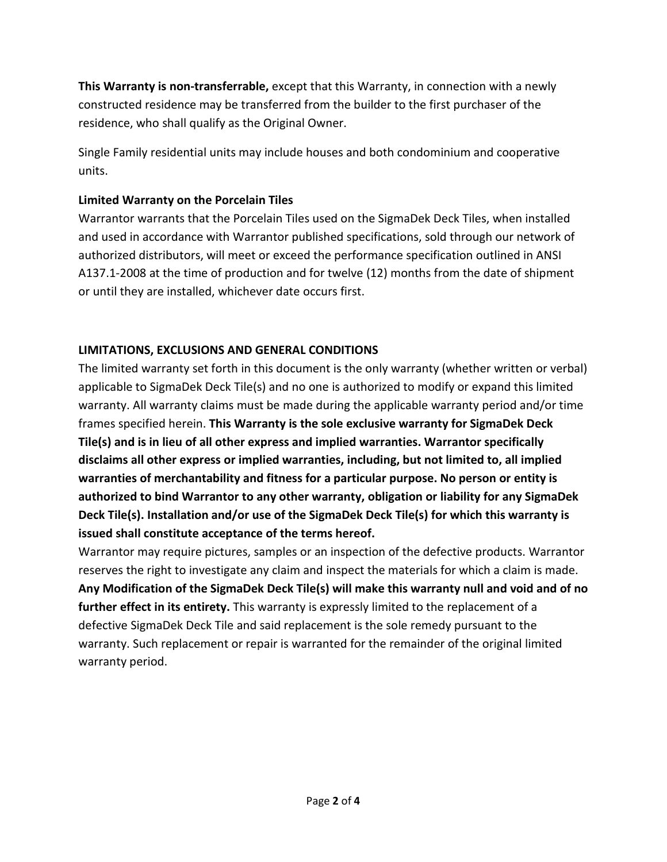**This Warranty is non-transferrable,** except that this Warranty, in connection with a newly constructed residence may be transferred from the builder to the first purchaser of the residence, who shall qualify as the Original Owner.

Single Family residential units may include houses and both condominium and cooperative units.

# **Limited Warranty on the Porcelain Tiles**

Warrantor warrants that the Porcelain Tiles used on the SigmaDek Deck Tiles, when installed and used in accordance with Warrantor published specifications, sold through our network of authorized distributors, will meet or exceed the performance specification outlined in ANSI A137.1-2008 at the time of production and for twelve (12) months from the date of shipment or until they are installed, whichever date occurs first.

# **LIMITATIONS, EXCLUSIONS AND GENERAL CONDITIONS**

The limited warranty set forth in this document is the only warranty (whether written or verbal) applicable to SigmaDek Deck Tile(s) and no one is authorized to modify or expand this limited warranty. All warranty claims must be made during the applicable warranty period and/or time frames specified herein. **This Warranty is the sole exclusive warranty for SigmaDek Deck Tile(s) and is in lieu of all other express and implied warranties. Warrantor specifically disclaims all other express or implied warranties, including, but not limited to, all implied warranties of merchantability and fitness for a particular purpose. No person or entity is authorized to bind Warrantor to any other warranty, obligation or liability for any SigmaDek Deck Tile(s). Installation and/or use of the SigmaDek Deck Tile(s) for which this warranty is issued shall constitute acceptance of the terms hereof.**

Warrantor may require pictures, samples or an inspection of the defective products. Warrantor reserves the right to investigate any claim and inspect the materials for which a claim is made. **Any Modification of the SigmaDek Deck Tile(s) will make this warranty null and void and of no further effect in its entirety.** This warranty is expressly limited to the replacement of a defective SigmaDek Deck Tile and said replacement is the sole remedy pursuant to the warranty. Such replacement or repair is warranted for the remainder of the original limited warranty period.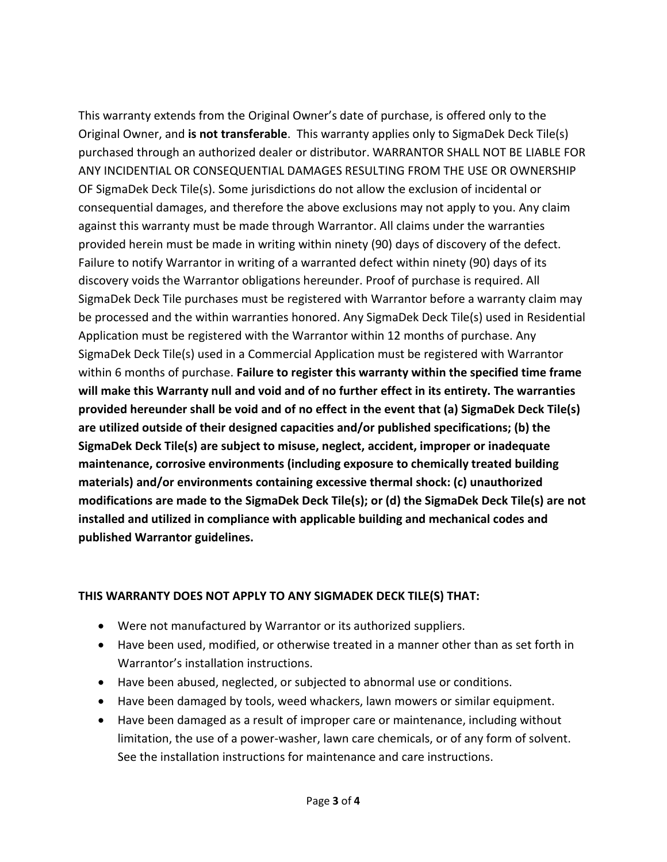This warranty extends from the Original Owner's date of purchase, is offered only to the Original Owner, and **is not transferable**. This warranty applies only to SigmaDek Deck Tile(s) purchased through an authorized dealer or distributor. WARRANTOR SHALL NOT BE LIABLE FOR ANY INCIDENTIAL OR CONSEQUENTIAL DAMAGES RESULTING FROM THE USE OR OWNERSHIP OF SigmaDek Deck Tile(s). Some jurisdictions do not allow the exclusion of incidental or consequential damages, and therefore the above exclusions may not apply to you. Any claim against this warranty must be made through Warrantor. All claims under the warranties provided herein must be made in writing within ninety (90) days of discovery of the defect. Failure to notify Warrantor in writing of a warranted defect within ninety (90) days of its discovery voids the Warrantor obligations hereunder. Proof of purchase is required. All SigmaDek Deck Tile purchases must be registered with Warrantor before a warranty claim may be processed and the within warranties honored. Any SigmaDek Deck Tile(s) used in Residential Application must be registered with the Warrantor within 12 months of purchase. Any SigmaDek Deck Tile(s) used in a Commercial Application must be registered with Warrantor within 6 months of purchase. **Failure to register this warranty within the specified time frame will make this Warranty null and void and of no further effect in its entirety. The warranties provided hereunder shall be void and of no effect in the event that (a) SigmaDek Deck Tile(s) are utilized outside of their designed capacities and/or published specifications; (b) the SigmaDek Deck Tile(s) are subject to misuse, neglect, accident, improper or inadequate maintenance, corrosive environments (including exposure to chemically treated building materials) and/or environments containing excessive thermal shock: (c) unauthorized modifications are made to the SigmaDek Deck Tile(s); or (d) the SigmaDek Deck Tile(s) are not installed and utilized in compliance with applicable building and mechanical codes and published Warrantor guidelines.**

## **THIS WARRANTY DOES NOT APPLY TO ANY SIGMADEK DECK TILE(S) THAT:**

- Were not manufactured by Warrantor or its authorized suppliers.
- Have been used, modified, or otherwise treated in a manner other than as set forth in Warrantor's installation instructions.
- Have been abused, neglected, or subjected to abnormal use or conditions.
- Have been damaged by tools, weed whackers, lawn mowers or similar equipment.
- Have been damaged as a result of improper care or maintenance, including without limitation, the use of a power-washer, lawn care chemicals, or of any form of solvent. See the installation instructions for maintenance and care instructions.